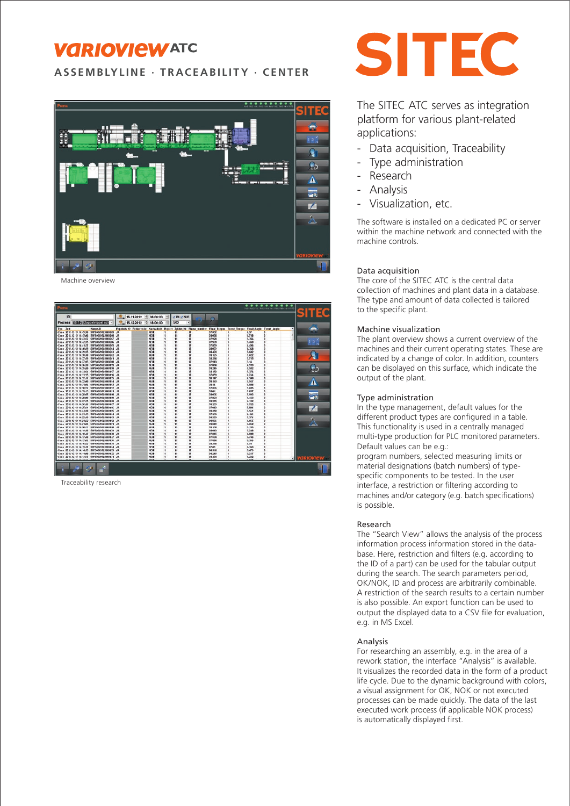# **VARIOVIEWATC**

**ASSEMBLYLINE · TRACEABILITY · CENTER**



Machine overview

| . .<br>$- - - - - -$<br>Puma<br>VISO NEZ THE MAIL free test trail stad more index      |                                                                 |                     |  |                              |                |                  |                                                          |                |  |                  |
|----------------------------------------------------------------------------------------|-----------------------------------------------------------------|---------------------|--|------------------------------|----------------|------------------|----------------------------------------------------------|----------------|--|------------------|
| $\mathbf{D}$                                                                           | 16.11.2012 5 06:00:00 5 VIO YNO                                 |                     |  |                              |                |                  |                                                          |                |  | <b>SITEC</b>     |
| Prozess 10.1.2) Coppelnippel sch                                                       | 15.12.2012 18:00:00                                             |                     |  | 500                          |                |                  |                                                          |                |  |                  |
| Typ Zelt<br><b>HargildO</b>                                                            | Ergebnik 10 Fahlercode Nacharbolt Report Zykler Nr Fhase number |                     |  |                              |                |                  | <b>Final Terque Trend Torque Final Aught Trend Augle</b> |                |  |                  |
| Cone 2012-12-11 14:45:56 SW546695L5603209                                              | 38                                                              | NEIN                |  | **                           | $\overline{u}$ | 17.812           |                                                          | 4.97           |  |                  |
| Copy 2012-12-13 14:45:06<br><b>SWS4009SLS003200</b>                                    |                                                                 | NEIN                |  | Ħ                            | $\overline{u}$ | 120.85           |                                                          | 4,718          |  |                  |
| Copy 2012-12-13 14:43:37 SWS4609515003267                                              |                                                                 | NEIN                |  | $\mathbf{H}$                 | ū              | 37,521           |                                                          | 5.156          |  |                  |
| Come 2012-12-13 14:42:05 5WS40695L5003206                                              |                                                                 | NEIN                |  | n                            | $\overline{u}$ | 27.529           |                                                          | 5,469          |  |                  |
| Copy 2012-12-13 14:41:32 SWS4669515603205                                              |                                                                 | NEIM                |  | m                            | n.             | 17.859           |                                                          | 4,456          |  |                  |
| Cope 2012-12-13 14:00:25 5WS46K9SL5003204                                              | $_{\rm AB}$                                                     | NETM                |  | $\mathbf{u}$                 | ø              | 38.672           |                                                          | 8,308          |  |                  |
| Come 2012-12-13 14:09:35 5WS46K95L5003203                                              |                                                                 | NEIN                |  | $\mathbf{u}$                 | <b>v</b>       | 38.471           |                                                          | 5,692          |  |                  |
| Cope 2012-12-13 14:30:00 5WS40695L5003202                                              | JA                                                              | NEIN                |  | $\mathbf{H}$                 | u              | 38,125           |                                                          | 5,822          |  |                  |
| Come 2012.12.13 14:37:59 5WS40695L5003201                                              |                                                                 | NEIN                |  | Ħ                            | $\overline{u}$ | 18,294           |                                                          | 5.715          |  |                  |
| Cone 2012-12-13 14:07:05 5WS46695L5003200                                              |                                                                 | NEIN                |  | Ħ                            | 17             | 37,543           |                                                          | 5.14           |  |                  |
| Cone 2012-12-13 14:06:20 5WS46695L5003199                                              | <b>JA</b>                                                       | <b>NEIN</b><br>NEIN |  | $\mathbf{H}$<br>$\mathbf{H}$ | ø<br>u         | 37,814<br>38.205 |                                                          | 4,919<br>5,582 |  |                  |
| Cone 2012-12-13 14:05:20 5WS46695L5003198<br>Come 2012:12:13 14:34:24 5WS40695L5003837 |                                                                 | NEIN                |  | n                            | ø              | 18.152           |                                                          | 5.376          |  |                  |
| Come 2012-12-13 14:33:35 5W546695L5003ENG                                              |                                                                 | NEW                 |  | $\blacksquare$               | $\mathbf{r}$   | 17.859           |                                                          | 4,744          |  |                  |
| Cope 2012-12-13 14:32:47 SWS46695L5003195                                              |                                                                 | NEIN                |  | n                            | ø              | 38.147           |                                                          | 4,530          |  |                  |
| Cone 2012-12-13 14:02:00 5WS40695L5003134                                              | $_{\text{dd}}$                                                  | NEIN                |  | n                            | $\overline{u}$ | 38,143           |                                                          | 5.947          |  |                  |
| Cope 2012-12-13 14:31:16 5WS40695L50038X3                                              |                                                                 | <b>NEIN</b>         |  |                              | u              | 38.56            |                                                          | 4,888          |  | А                |
| Cone 2012-12-13 14:00:27 5WS40695L5003832                                              |                                                                 | NEIN                |  | ÷.                           | o              | 17.474           |                                                          | 5,685          |  |                  |
| Cone, 2012-12-13 14:29:43 SWS46695L5663891                                             | 38                                                              | <b>NEIM</b>         |  | Ħ                            | 17             | 33.61            |                                                          | 5,837          |  |                  |
| Cone 2012-12-13 14:20:55 5WS40695L5003190                                              |                                                                 | <b>NEIN</b>         |  | Ħ                            | $\overline{u}$ | 38,636           |                                                          | 5,993          |  | <b>System</b>    |
| Come 2012-12-13 14:20:05 SWS40695L50031893                                             | $_{\rm AB}$                                                     | NEIN                |  | n                            | u              | 27.823           |                                                          | 5.443          |  | m O              |
| Come 2012:12:13 14:27:15 5WS40695L5003888                                              |                                                                 | NEIN                |  | n                            | ø              | 38.595           |                                                          | 6.132          |  |                  |
| Cone 2012-12-13 14:26:26 5WS46695L5603837                                              | 3.8                                                             | NEIN                |  | Ħ                            | ø              | 38,223           |                                                          | 6.522          |  |                  |
| Cope 2012-12-13 14:25:41 5WS4009SL500310G                                              |                                                                 | NEIN                |  | Ħ                            | ø              | 37,583           |                                                          | 5,001          |  |                  |
| Cone 2012-12-13 14:24:38 SWS4009515003815                                              |                                                                 | NEIN                |  | n                            | u              | 38,258           |                                                          | 5,561          |  |                  |
| Come 2012.12.13 14:23:53 5W540695L5003838                                              |                                                                 | NEIN                |  | m                            | ø              | 17.929           |                                                          | 6.191          |  |                  |
| Cone 2012-12-13 14:22:25 SWS46695L5663833                                              |                                                                 | NEIN                |  | Ħ                            | 17             | 38.223           |                                                          | 5.171          |  |                  |
| Come 2012-12-13 14:21:52 SWS46695L5663182                                              | JA                                                              | <b>NEIN</b>         |  | Ħ                            | 17             | 33.635           |                                                          | 4.955          |  |                  |
| Cone 2012-12-13 14:21:05 SWS40695L5003831                                              |                                                                 | <b>NEIN</b>         |  | Ħ                            | $\overline{u}$ | 28,689           |                                                          | 5,458          |  |                  |
| Cone 2012.12.13 14:20:11 5WS80695L5003180                                              |                                                                 | NEIN                |  | Ħ                            | u              | 28.134           |                                                          | 5.135          |  |                  |
| Cone, 2012-12-13 14:19:36. SW546695L5603179.                                           | 38                                                              | NEIN                |  | m                            | û              | 138.063          |                                                          | 5.748          |  |                  |
| Come 2012-12-13 14:10:42 5WS40695L5003170                                              |                                                                 | NEIN                |  | m                            | ø              | 17.005           |                                                          | 4,888          |  |                  |
| Cone 2012-12-13 14:17:58 SWS4069515003177                                              | $_{\text{dd}}$                                                  | NEIN                |  | n                            | ū              | 37.574           |                                                          | 5,746          |  |                  |
| Cone 2012-12-13 14:57:07 5WS4069515003176                                              |                                                                 | <b>NE1N</b>         |  | n                            | u              | 37,894           |                                                          | 5,356          |  |                  |
| Come 2012-12-11 14:80:22 5WS40695L5003E75                                              | 38                                                              | NEIN                |  | m                            | ø              | 18.258           |                                                          | 1.78           |  |                  |
| Cope 2012-12-13 14:15:37<br>SW540695L5003174                                           |                                                                 | <b>NEIN</b>         |  | Ħ                            | 17             | 37.85            |                                                          | 6,363          |  |                  |
| Come 2012-12-13 14:14:53 5WS46695L5003173                                              |                                                                 | NEIN                |  | Ħ                            | ū              | 38,311           |                                                          | 5.479          |  |                  |
| Cone 2012-12-13 14:14:08 5WS40695L5003172                                              | JA                                                              | NEIN                |  | n                            | u              | 18.205           |                                                          | 5.217          |  |                  |
| Cone 2012-12-13 14:13:17 SWS40695L5003171                                              | -38                                                             | NEIN                |  | m                            | ø              | 38.471           |                                                          | 5,232          |  | <b>VARIOVIEW</b> |
| <b>UNIT MARCH FARMATIN</b>                                                             |                                                                 | MEIN                |  |                              |                | 56.467           |                                                          | 4,694          |  |                  |
| ч                                                                                      |                                                                 |                     |  |                              |                |                  |                                                          |                |  |                  |

Traceability research



The SITEC ATC serves as integration platform for various plant-related applications:

- Data acquisition, Traceability
- Type administration
- **Research**
- **Analysis**
- Visualization, etc.

The software is installed on a dedicated PC or server within the machine network and connected with the machine controls.

# Data acquisition

The core of the SITEC ATC is the central data collection of machines and plant data in a database. The type and amount of data collected is tailored to the specific plant.

### Machine visualization

The plant overview shows a current overview of the machines and their current operating states. These are indicated by a change of color. In addition, counters can be displayed on this surface, which indicate the output of the plant.

### Type administration

In the type management, default values for the different product types are configured in a table. This functionality is used in a centrally managed multi-type production for PLC monitored parameters. Default values can be e.g.:

program numbers, selected measuring limits or material designations (batch numbers) of typespecific components to be tested. In the user interface, a restriction or filtering according to machines and/or category (e.g. batch specifications) is possible.

# Research

The "Search View" allows the analysis of the process information process information stored in the database. Here, restriction and filters (e.g. according to the ID of a part) can be used for the tabular output during the search. The search parameters period, OK/NOK, ID and process are arbitrarily combinable. A restriction of the search results to a certain number is also possible. An export function can be used to output the displayed data to a CSV file for evaluation, e.g. in MS Excel.

#### Analysis

For researching an assembly, e.g. in the area of a rework station, the interface "Analysis" is available. It visualizes the recorded data in the form of a product life cycle. Due to the dynamic background with colors, a visual assignment for OK, NOK or not executed processes can be made quickly. The data of the last executed work process (if applicable NOK process) is automatically displayed first.